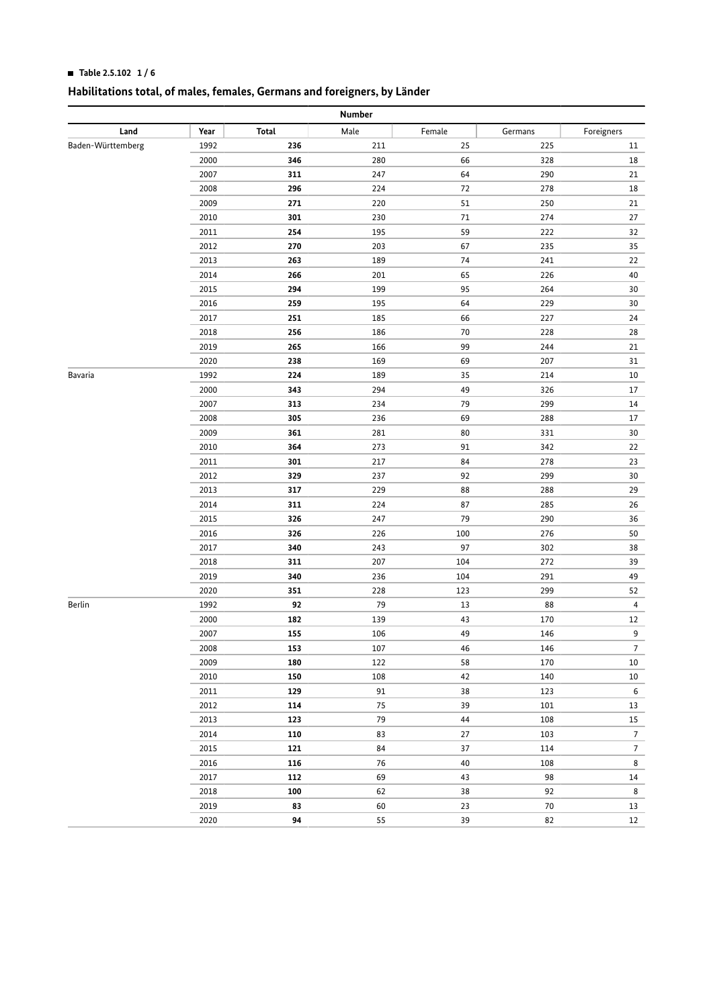### **HI Table 2.5.102 1 / 6**

| Number            |      |       |      |        |         |                |  |
|-------------------|------|-------|------|--------|---------|----------------|--|
| Land              | Year | Total | Male | Female | Germans | Foreigners     |  |
| Baden-Württemberg | 1992 | 236   | 211  | 25     | 225     | 11             |  |
|                   | 2000 | 346   | 280  | 66     | 328     | 18             |  |
|                   | 2007 | 311   | 247  | 64     | 290     | 21             |  |
|                   | 2008 | 296   | 224  | 72     | 278     | 18             |  |
|                   | 2009 | 271   | 220  | 51     | 250     | 21             |  |
|                   | 2010 | 301   | 230  | $71\,$ | 274     | 27             |  |
|                   | 2011 | 254   | 195  | 59     | 222     | 32             |  |
|                   | 2012 | 270   | 203  | 67     | 235     | 35             |  |
|                   | 2013 | 263   | 189  | $74\,$ | 241     | 22             |  |
|                   | 2014 | 266   | 201  | 65     | 226     | 40             |  |
|                   | 2015 | 294   | 199  | 95     | 264     | 30             |  |
|                   | 2016 | 259   | 195  | 64     | 229     | 30             |  |
|                   | 2017 | 251   | 185  | 66     | 227     | 24             |  |
|                   | 2018 | 256   | 186  | $70\,$ | 228     | 28             |  |
|                   | 2019 | 265   | 166  | 99     | 244     | 21             |  |
|                   | 2020 | 238   | 169  | 69     | 207     | 31             |  |
| Bavaria           | 1992 | 224   | 189  | 35     | 214     | 10             |  |
|                   | 2000 | 343   | 294  | 49     | 326     | 17             |  |
|                   | 2007 | 313   | 234  | 79     | 299     | 14             |  |
|                   | 2008 | 305   | 236  | 69     | 288     | 17             |  |
|                   | 2009 | 361   | 281  | 80     | 331     | 30             |  |
|                   | 2010 | 364   | 273  | 91     | 342     | 22             |  |
|                   | 2011 | 301   | 217  | 84     | 278     | 23             |  |
|                   | 2012 | 329   | 237  | 92     | 299     | 30             |  |
|                   | 2013 | 317   | 229  | 88     | 288     | 29             |  |
|                   | 2014 | 311   | 224  | 87     | 285     | 26             |  |
|                   | 2015 | 326   | 247  | 79     | 290     | 36             |  |
|                   | 2016 | 326   | 226  | 100    | 276     | 50             |  |
|                   | 2017 | 340   | 243  | 97     | 302     | 38             |  |
|                   | 2018 | 311   | 207  | 104    | 272     | 39             |  |
|                   | 2019 | 340   | 236  | 104    | 291     | 49             |  |
|                   | 2020 | 351   | 228  | 123    | 299     | 52             |  |
| <b>Berlin</b>     | 1992 | 92    | 79   | 13     | 88      | 4              |  |
|                   | 2000 | 182   | 139  | 43     | 170     | 12             |  |
|                   | 2007 | 155   | 106  | 49     | 146     | 9              |  |
|                   | 2008 | 153   | 107  | 46     | 146     | 7              |  |
|                   | 2009 | 180   | 122  | 58     | 170     | $10\,$         |  |
|                   | 2010 | 150   | 108  | 42     | 140     | $10\,$         |  |
|                   | 2011 | 129   | 91   | 38     | 123     | 6              |  |
|                   | 2012 | 114   | 75   | 39     | 101     | 13             |  |
|                   | 2013 | 123   | 79   | 44     | 108     | 15             |  |
|                   | 2014 | 110   | 83   | $27\,$ | 103     | $\overline{7}$ |  |
|                   | 2015 | 121   | 84   | $37\,$ | 114     | $\overline{7}$ |  |
|                   | 2016 | 116   | 76   | 40     | 108     | 8              |  |
|                   | 2017 | 112   | 69   | 43     | 98      | 14             |  |
|                   | 2018 | 100   | 62   | 38     | 92      | 8              |  |
|                   | 2019 | 83    | 60   | 23     | $70\,$  | 13             |  |
|                   | 2020 | 94    | 55   | 39     | 82      | 12             |  |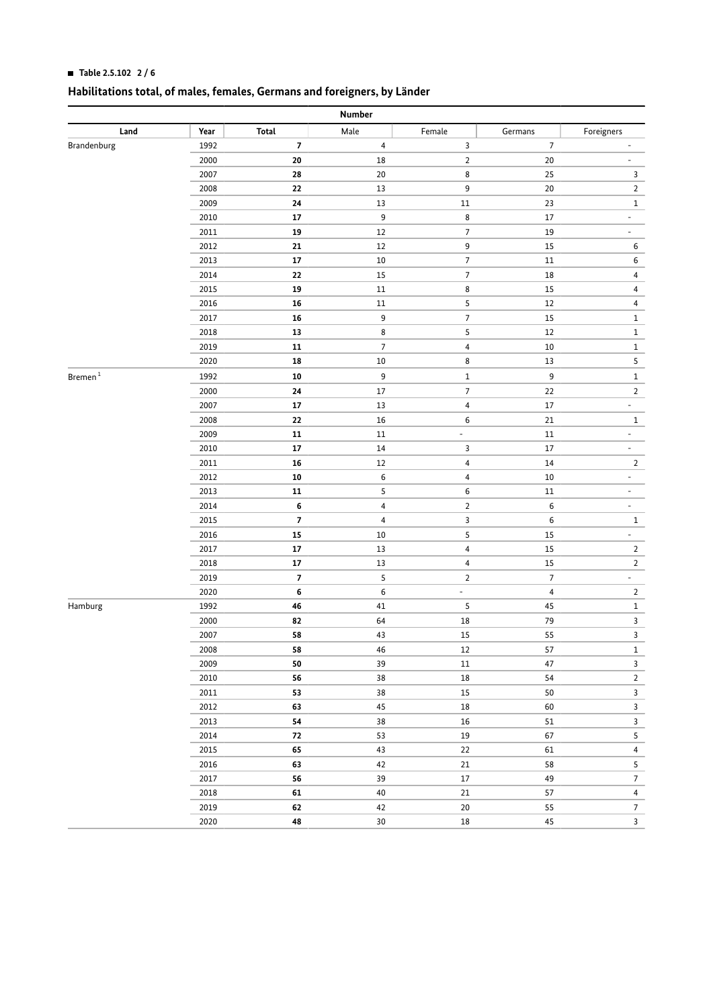### **HI Table 2.5.102 2 / 6**

|               | Number |                          |                          |                         |                |                          |  |  |  |
|---------------|--------|--------------------------|--------------------------|-------------------------|----------------|--------------------------|--|--|--|
| Land          | Year   | Total                    | Male                     | Female                  | Germans        | Foreigners               |  |  |  |
| Brandenburg   | 1992   | $\overline{\mathbf{z}}$  | 4                        | 3                       | $\overline{7}$ |                          |  |  |  |
|               | 2000   | 20                       | 18                       | $\overline{\mathbf{c}}$ | $20\,$         | -                        |  |  |  |
|               | 2007   | 28                       | 20                       | 8                       | 25             | 3                        |  |  |  |
|               | 2008   | 22                       | 13                       | 9                       | $20\,$         | $\overline{2}$           |  |  |  |
|               | 2009   | 24                       | $13\,$                   | $11\,$                  | 23             | $\mathbf{1}$             |  |  |  |
|               | 2010   | 17                       | 9                        | 8                       | $17\,$         | $\overline{\phantom{a}}$ |  |  |  |
|               | 2011   | 19                       | 12                       | 7                       | 19             | -                        |  |  |  |
|               | 2012   | ${\bf 21}$               | 12                       | 9                       | $15\,$         | 6                        |  |  |  |
|               | 2013   | $17\,$                   | $10\,$                   | 7                       | $11\,$         | 6                        |  |  |  |
|               | 2014   | 22                       | 15                       | 7                       | 18             | 4                        |  |  |  |
|               | 2015   | 19                       | 11                       | 8                       | $15\,$         | 4                        |  |  |  |
|               | 2016   | 16                       | 11                       | 5                       | $12\,$         | 4                        |  |  |  |
|               | 2017   | 16                       | 9                        | 7                       | $15\,$         | $\mathbf 1$              |  |  |  |
|               | 2018   | 13                       | 8                        | 5                       | 12             | $\mathbf{1}$             |  |  |  |
|               | 2019   | ${\bf 11}$               | $\overline{\phantom{a}}$ | 4                       | $10\,$         | $\mathbf{1}$             |  |  |  |
|               | 2020   | 18                       | $10\,$                   | 8                       | $13\,$         | 5                        |  |  |  |
| $B$ remen $1$ | 1992   | ${\bf 10}$               | 9                        | 1                       | 9              | $\mathbf{1}$             |  |  |  |
|               | 2000   | ${\bf 24}$               | $17\,$                   | $\overline{7}$          | 22             | $\overline{2}$           |  |  |  |
|               | 2007   | $17\,$                   | 13                       | 4                       | $17\,$         | $\overline{\phantom{a}}$ |  |  |  |
|               | 2008   | 22                       | 16                       | 6                       | 21             | $\mathbf{1}$             |  |  |  |
|               | 2009   | ${\bf 11}$               | $11\,$                   | $\frac{1}{2}$           | $11\,$         | $\overline{\phantom{a}}$ |  |  |  |
|               | 2010   | $17\,$                   | $14\,$                   | 3                       | $17\,$         | $\overline{\phantom{a}}$ |  |  |  |
|               | 2011   | 16                       | 12                       | 4                       | 14             | $\overline{2}$           |  |  |  |
|               | 2012   | ${\bf 10}$               | 6                        | 4                       | $10\,$         | $\overline{\phantom{a}}$ |  |  |  |
|               | 2013   | ${\bf 11}$               | 5                        | 6                       | $11\,$         | $\overline{\phantom{0}}$ |  |  |  |
|               | 2014   | 6                        | $\overline{\mathbf{4}}$  | $\overline{2}$          | 6              | $\overline{\phantom{0}}$ |  |  |  |
|               | 2015   | $\overline{\phantom{a}}$ | $\overline{\mathbf{4}}$  | 3                       | 6              | $\mathbf{1}$             |  |  |  |
|               | 2016   | ${\bf 15}$               | $10\,$                   | 5                       | $15\,$         | ÷.                       |  |  |  |
|               | 2017   | ${\bf 17}$               | 13                       | 4                       | $15\,$         | $\overline{2}$           |  |  |  |
|               | 2018   | ${\bf 17}$               | $13\,$                   | 4                       | $15\,$         | $\overline{2}$           |  |  |  |
|               | 2019   | $\overline{\mathbf{z}}$  | 5                        | $\overline{2}$          | $\overline{7}$ | $\overline{\phantom{a}}$ |  |  |  |
|               | 2020   | 6                        | $\sf 6$                  | $\frac{1}{2}$           | $\pmb{4}$      | $\overline{2}$           |  |  |  |
| Hamburg       | 1992   | 46                       | 41                       | 5                       | 45             | $\mathbf{1}$             |  |  |  |
|               | 2000   | 82                       | 64                       | $18\,$                  | 79             | 3                        |  |  |  |
|               | 2007   | 58                       | 43                       | 15                      | 55             | 3                        |  |  |  |
|               | 2008   | 58                       | 46                       | 12                      | 57             | $\mathbf{1}$             |  |  |  |
|               | 2009   | 50                       | 39                       | 11                      | 47             | $\mathbf{3}$             |  |  |  |
|               | 2010   | 56                       | 38                       | $18\,$                  | 54             | $\overline{2}$           |  |  |  |
|               | 2011   | 53                       | 38                       | $15\,$                  | $50\,$         | $\mathbf{3}$             |  |  |  |
|               | 2012   | 63                       | 45                       | $18\,$                  | 60             | $\mathbf{3}$             |  |  |  |
|               | 2013   | ${\bf 54}$               | 38                       | $16\,$                  | $51\,$         | $\mathsf{3}$             |  |  |  |
|               | 2014   | 72                       | 53                       | $19\,$                  | 67             | $\overline{\mathbf{5}}$  |  |  |  |
|               | 2015   | 65                       | 43                       | 22                      | 61             | $\overline{4}$           |  |  |  |
|               | 2016   | 63                       | 42                       | 21                      | 58             | 5                        |  |  |  |
|               | 2017   | 56                       | 39                       | $17\,$                  | 49             | $\sqrt{7}$               |  |  |  |
|               | 2018   | 61                       | $40\,$                   | 21                      | 57             | $\overline{4}$           |  |  |  |
|               | 2019   | 62                       | 42                       | 20                      | 55             | $\overline{7}$           |  |  |  |
|               | 2020   | 48                       | 30                       | $18\,$                  | 45             | $\overline{\mathbf{3}}$  |  |  |  |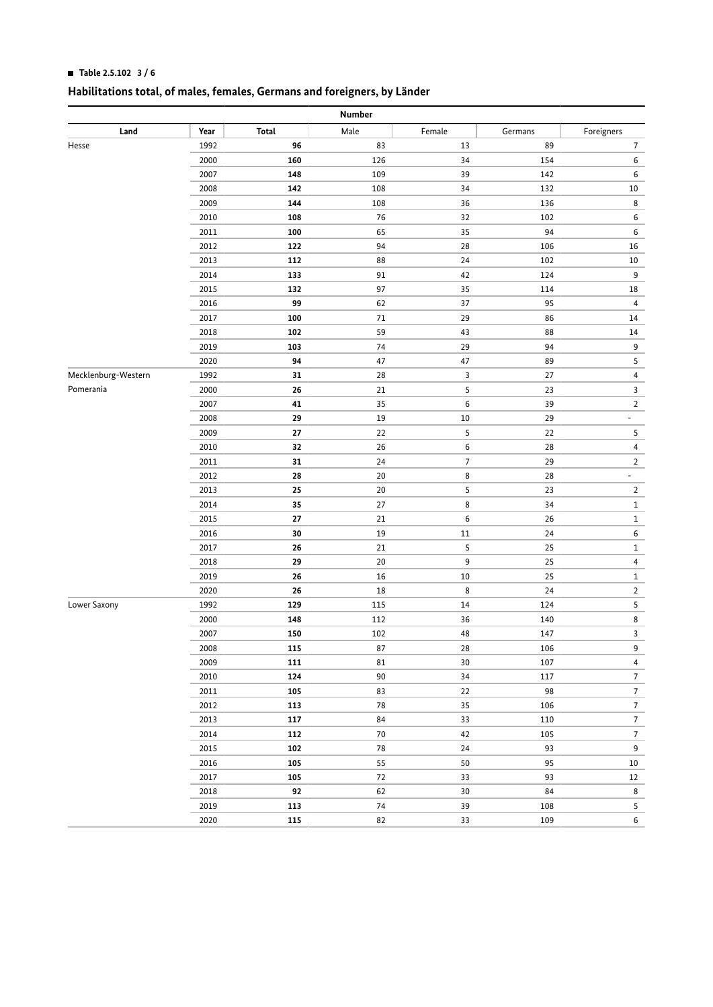### **HI Table 2.5.102 3 / 6**

| Number              |      |        |            |                |         |                  |  |
|---------------------|------|--------|------------|----------------|---------|------------------|--|
| Land                | Year | Total  | Male       | Female         | Germans | Foreigners       |  |
| Hesse               | 1992 | 96     | 83         | 13             | 89      | 7                |  |
|                     | 2000 | 160    | 126        | 34             | 154     | 6                |  |
|                     | 2007 | 148    | 109        | 39             | 142     | 6                |  |
|                     | 2008 | 142    | 108        | 34             | 132     | 10               |  |
|                     | 2009 | 144    | 108        | 36             | 136     | 8                |  |
|                     | 2010 | 108    | 76         | 32             | 102     | 6                |  |
|                     | 2011 | 100    | 65         | 35             | 94      | 6                |  |
|                     | 2012 | 122    | 94         | 28             | 106     | 16               |  |
|                     | 2013 | 112    | 88         | $24\,$         | 102     | 10               |  |
|                     | 2014 | 133    | 91         | 42             | 124     | 9                |  |
|                     | 2015 | 132    | 97         | 35             | 114     | 18               |  |
|                     | 2016 | 99     | 62         | 37             | 95      | $\overline{4}$   |  |
|                     | 2017 | 100    | $71\,$     | 29             | 86      | 14               |  |
|                     | 2018 | 102    | 59         | 43             | 88      | 14               |  |
|                     | 2019 | 103    | 74         | 29             | 94      | 9                |  |
|                     | 2020 | 94     | 47         | 47             | 89      | 5                |  |
| Mecklenburg-Western | 1992 | 31     | 28         | 3              | 27      | $\overline{4}$   |  |
| Pomerania           | 2000 | 26     | $21\,$     | 5              | 23      | 3                |  |
|                     | 2007 | 41     | 35         | 6              | 39      | $\overline{2}$   |  |
|                     | 2008 | 29     | $19\,$     | 10             | 29      | -                |  |
|                     | 2009 | 27     | 22         | 5              | 22      | 5                |  |
|                     | 2010 | $32\,$ | 26         | 6              | 28      | $\overline{4}$   |  |
|                     | 2011 | 31     | 24         | $\overline{7}$ | 29      | $\overline{2}$   |  |
|                     | 2012 | 28     | 20         | 8              | 28      | -                |  |
|                     | 2013 | 25     | 20         | 5              | 23      | $\overline{2}$   |  |
|                     | 2014 | 35     | 27         | 8              | 34      | $\,1$            |  |
|                     | 2015 | 27     | 21         | 6              | 26      | $\mathbf{1}$     |  |
|                     | 2016 | 30     | 19         | $11\,$         | 24      | 6                |  |
|                     | 2017 | 26     | $21\,$     | 5              | 25      | $\mathbf{1}$     |  |
|                     | 2018 | 29     | 20         | 9              | 25      | $\overline{4}$   |  |
|                     | 2019 | 26     | 16         | 10             | 25      | $\mathbf{1}$     |  |
|                     | 2020 | 26     | 18         | 8              | 24      | $\overline{2}$   |  |
| Lower Saxony        | 1992 | 129    | 115        | $14\,$         | 124     | 5                |  |
|                     | 2000 | 148    | 112        | 36             | 140     | 8                |  |
|                     | 2007 | 150    | 102        | 48             | 147     | 3                |  |
|                     | 2008 | 115    | 87         | 28             | 106     | 9                |  |
|                     | 2009 | 111    | 81         | 30             | 107     | $\overline{4}$   |  |
|                     | 2010 | 124    | 90         | 34             | 117     | $\overline{7}$   |  |
|                     | 2011 | 105    | 83         | 22             | 98      | $\overline{7}$   |  |
|                     | 2012 | 113    | 78         | 35             | 106     | $\overline{7}$   |  |
|                     | 2013 | 117    | 84         | 33             | 110     | $\overline{7}$   |  |
|                     | 2014 | 112    | 70         | 42             | 105     | $\boldsymbol{7}$ |  |
|                     | 2015 | 102    | ${\bf 78}$ | 24             | 93      | $\mathsf 9$      |  |
|                     | 2016 | 105    | 55         | 50             | 95      | 10               |  |
|                     | 2017 | 105    | 72         | 33             | 93      | 12               |  |
|                     | 2018 | 92     | 62         | 30             | 84      | 8                |  |
|                     | 2019 | 113    | 74         | 39             | 108     | $\sqrt{5}$       |  |
|                     | 2020 | 115    | 82         | 33             | 109     | $\sf 6$          |  |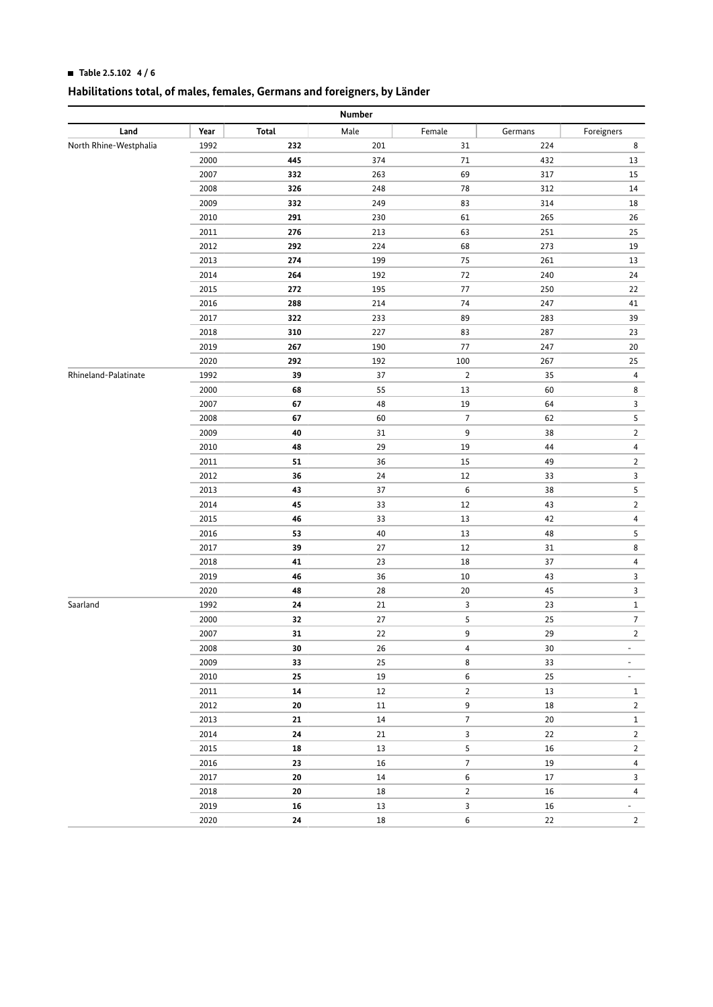### **HI Table 2.5.102 4 / 6**

| Number                 |      |            |        |                |         |                          |  |  |
|------------------------|------|------------|--------|----------------|---------|--------------------------|--|--|
| Land                   | Year | Total      | Male   | Female         | Germans | Foreigners               |  |  |
| North Rhine-Westphalia | 1992 | 232        | 201    | 31             | 224     | 8                        |  |  |
|                        | 2000 | 445        | 374    | $71\,$         | 432     | 13                       |  |  |
|                        | 2007 | 332        | 263    | 69             | 317     | 15                       |  |  |
|                        | 2008 | 326        | 248    | 78             | 312     | 14                       |  |  |
|                        | 2009 | 332        | 249    | 83             | 314     | 18                       |  |  |
|                        | 2010 | 291        | 230    | 61             | 265     | 26                       |  |  |
|                        | 2011 | 276        | 213    | 63             | 251     | 25                       |  |  |
|                        | 2012 | 292        | 224    | 68             | 273     | 19                       |  |  |
|                        | 2013 | 274        | 199    | 75             | 261     | 13                       |  |  |
|                        | 2014 | 264        | 192    | 72             | 240     | 24                       |  |  |
|                        | 2015 | 272        | 195    | 77             | 250     | 22                       |  |  |
|                        | 2016 | 288        | 214    | 74             | 247     | 41                       |  |  |
|                        | 2017 | 322        | 233    | 89             | 283     | 39                       |  |  |
|                        | 2018 | 310        | 227    | 83             | 287     | 23                       |  |  |
|                        | 2019 | 267        | 190    | 77             | 247     | 20                       |  |  |
|                        | 2020 | 292        | 192    | 100            | 267     | 25                       |  |  |
| Rhineland-Palatinate   | 1992 | 39         | 37     | $\overline{2}$ | 35      | 4                        |  |  |
|                        | 2000 | 68         | 55     | 13             | 60      | 8                        |  |  |
|                        | 2007 | 67         | 48     | 19             | 64      | 3                        |  |  |
|                        | 2008 | 67         | 60     | $\overline{7}$ | 62      | 5                        |  |  |
|                        | 2009 | 40         | 31     | 9              | 38      | $\overline{2}$           |  |  |
|                        | 2010 | 48         | 29     | 19             | 44      | 4                        |  |  |
|                        | 2011 | 51         | 36     | 15             | 49      | $\overline{2}$           |  |  |
|                        | 2012 | 36         | 24     | 12             | 33      | 3                        |  |  |
|                        | 2013 | 43         | 37     | 6              | 38      | 5                        |  |  |
|                        | 2014 | 45         | 33     | 12             | 43      | $\overline{2}$           |  |  |
|                        | 2015 | 46         | 33     | 13             | 42      | 4                        |  |  |
|                        | 2016 | 53         | 40     | 13             | 48      | 5                        |  |  |
|                        | 2017 | 39         | 27     | 12             | 31      | 8                        |  |  |
|                        | 2018 | 41         | 23     | 18             | 37      | 4                        |  |  |
|                        | 2019 | 46         | 36     | 10             | 43      | 3                        |  |  |
|                        | 2020 | 48         | 28     | 20             | 45      | 3                        |  |  |
| Saarland               | 1992 | 24         | 21     | 3              | 23      | $1\,$                    |  |  |
|                        | 2000 | 32         | 27     | 5              | 25      | 7                        |  |  |
|                        | 2007 | 31         | 22     | 9              | 29      | $\overline{2}$           |  |  |
|                        | 2008 | 30         | 26     | 4              | 30      |                          |  |  |
|                        | 2009 | 33         | 25     | 8              | 33      | $\overline{\phantom{0}}$ |  |  |
|                        | 2010 | $25\,$     | $19\,$ | $\sf 6$        | 25      | ٠                        |  |  |
|                        | 2011 | ${\bf 14}$ | $12\,$ | $\overline{2}$ | $13\,$  | $\mathbf{1}$             |  |  |
|                        | 2012 | 20         | 11     | 9              | 18      | $\overline{2}$           |  |  |
|                        | 2013 | 21         | 14     | $\overline{7}$ | 20      | $\mathbf{1}$             |  |  |
|                        | 2014 | ${\bf 24}$ | 21     | 3              | 22      | $\overline{2}$           |  |  |
|                        | 2015 | 18         | $13\,$ | 5              | $16\,$  | $\overline{2}$           |  |  |
|                        | 2016 | 23         | $16\,$ | $\overline{7}$ | 19      | $\overline{4}$           |  |  |
|                        | 2017 | ${\bf 20}$ | 14     | $\sf 6$        | 17      | $\overline{3}$           |  |  |
|                        | 2018 | ${\bf 20}$ | $18\,$ | $\overline{2}$ | 16      | $\overline{4}$           |  |  |
|                        | 2019 | ${\bf 16}$ | 13     | 3              | 16      | $\overline{\phantom{0}}$ |  |  |
|                        | 2020 | ${\bf 24}$ | $18\,$ | $\sf 6$        | 22      | $\overline{2}$           |  |  |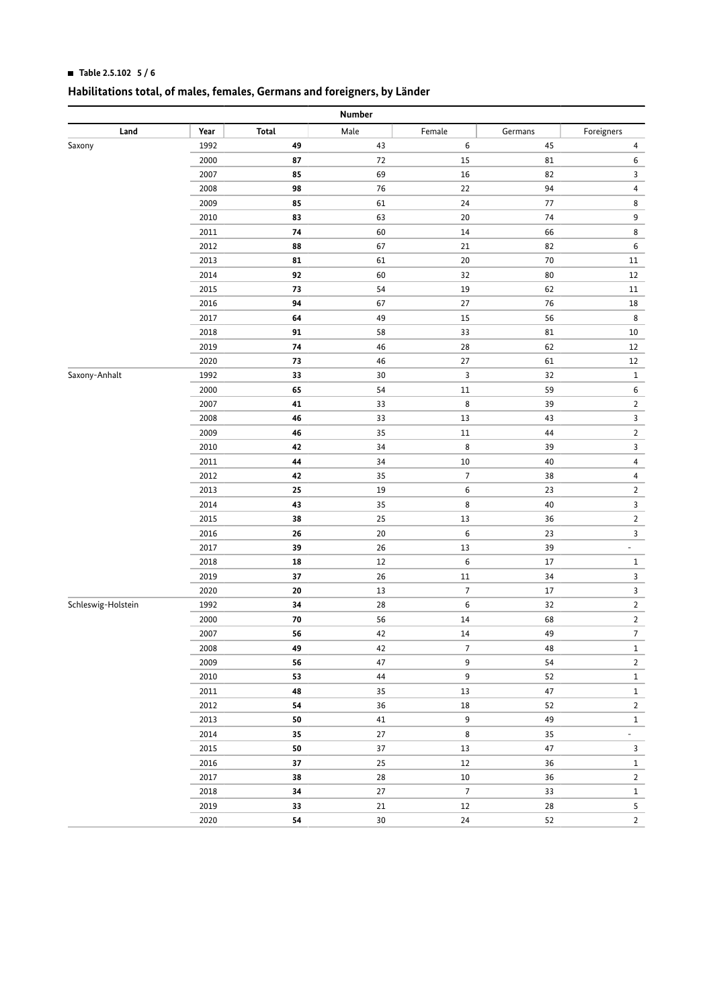### **HI Table 2.5.102 5 / 6**

| Number             |      |            |        |                |         |                          |  |
|--------------------|------|------------|--------|----------------|---------|--------------------------|--|
| Land               | Year | Total      | Male   | Female         | Germans | Foreigners               |  |
| Saxony             | 1992 | 49         | 43     | 6              | 45      | 4                        |  |
|                    | 2000 | 87         | $72\,$ | 15             | 81      | 6                        |  |
|                    | 2007 | 85         | 69     | 16             | 82      | 3                        |  |
|                    | 2008 | 98         | 76     | 22             | 94      | 4                        |  |
|                    | 2009 | 85         | 61     | 24             | 77      | 8                        |  |
|                    | 2010 | 83         | 63     | 20             | 74      | 9                        |  |
|                    | 2011 | 74         | 60     | 14             | 66      | 8                        |  |
|                    | 2012 | 88         | 67     | 21             | 82      | 6                        |  |
|                    | 2013 | 81         | 61     | 20             | 70      | 11                       |  |
|                    | 2014 | 92         | 60     | 32             | 80      | 12                       |  |
|                    | 2015 | 73         | 54     | 19             | 62      | 11                       |  |
|                    | 2016 | 94         | 67     | 27             | 76      | 18                       |  |
|                    | 2017 | 64         | 49     | 15             | 56      | 8                        |  |
|                    | 2018 | 91         | 58     | 33             | 81      | 10                       |  |
|                    | 2019 | 74         | $46\,$ | 28             | 62      | 12                       |  |
|                    | 2020 | 73         | $46\,$ | 27             | 61      | 12                       |  |
| Saxony-Anhalt      | 1992 | 33         | $30\,$ | 3              | 32      | $\mathbf{1}$             |  |
|                    | 2000 | 65         | 54     | 11             | 59      | 6                        |  |
|                    | 2007 | 41         | 33     | 8              | 39      | $\overline{2}$           |  |
|                    | 2008 | 46         | 33     | 13             | 43      | 3                        |  |
|                    | 2009 | 46         | 35     | $11\,$         | 44      | $\overline{2}$           |  |
|                    | 2010 | 42         | 34     | 8              | 39      | 3                        |  |
|                    | 2011 | 44         | 34     | 10             | 40      | 4                        |  |
|                    | 2012 | 42         | 35     | $\overline{7}$ | 38      | 4                        |  |
|                    | 2013 | 25         | 19     | 6              | 23      | $\overline{2}$           |  |
|                    | 2014 | 43         | 35     | 8              | 40      | 3                        |  |
|                    | 2015 | 38         | 25     | 13             | 36      | $\overline{2}$           |  |
|                    | 2016 | 26         | $20\,$ | 6              | 23      | 3                        |  |
|                    | 2017 | 39         | 26     | 13             | 39      | $\overline{\phantom{a}}$ |  |
|                    | 2018 | 18         | $12\,$ | 6              | 17      | $\mathbf{1}$             |  |
|                    | 2019 | 37         | 26     | 11             | 34      | 3                        |  |
|                    | 2020 | 20         | $13\,$ | $\overline{7}$ | 17      | 3                        |  |
| Schleswig-Holstein | 1992 | 34         | 28     | 6              | 32      | $\overline{2}$           |  |
|                    | 2000 | 70         | 56     | 14             | 68      | $\overline{2}$           |  |
|                    | 2007 | 56         | 42     | 14             | 49      | $\overline{7}$           |  |
|                    | 2008 | 49         | 42     | 7              | 48      | $\mathbf{1}$             |  |
|                    | 2009 | 56         | 47     | 9              | 54      | $\overline{2}$           |  |
|                    | 2010 | 53         | 44     | 9              | 52      | $\mathbf 1$              |  |
|                    | 2011 | 48         | 35     | $13\,$         | $47\,$  | $\mathbf 1$              |  |
|                    | 2012 | ${\bf 54}$ | 36     | 18             | 52      | $\overline{2}$           |  |
|                    | 2013 | 50         | 41     | $\mathsf g$    | 49      | $\mathbf{1}$             |  |
|                    | 2014 | 35         | $27\,$ | $\bf 8$        | 35      | $\overline{\phantom{a}}$ |  |
|                    | 2015 | ${\bf 50}$ | $37\,$ | 13             | 47      | $\overline{3}$           |  |
|                    | 2016 | $37\,$     | 25     | $12\,$         | 36      | $\mathbf{1}$             |  |
|                    | 2017 | 38         | 28     | $10\,$         | 36      | $\overline{2}$           |  |
|                    | 2018 | 34         | $27\,$ | $\overline{7}$ | 33      | $\mathbf 1$              |  |
|                    | 2019 | 33         | 21     | $12\,$         | 28      | $5\overline{)}$          |  |
|                    | 2020 | ${\bf 54}$ | 30     | 24             | 52      | $\overline{2}$           |  |